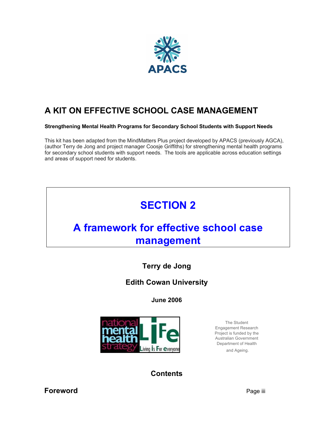

## **A KIT ON EFFECTIVE SCHOOL CASE MANAGEMENT**

#### **Strengthening Mental Health Programs for Secondary School Students with Support Needs**

This kit has been adapted from the MindMatters Plus project developed by APACS (previously AGCA), (author Terry de Jong and project manager Coosje Griffiths) for strengthening mental health programs for secondary school students with support needs. The tools are applicable across education settings and areas of support need for students.



ving **is For everyone** 

Engagement Research Project is funded by the Australian Government Department of Health and Ageing.

**Contents** 

**Foreword** Page iii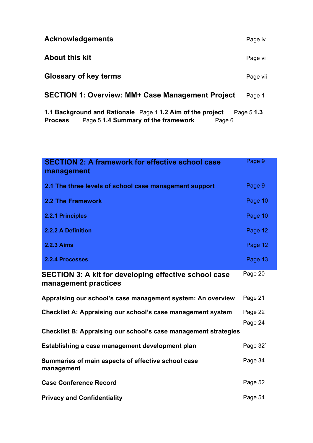| <b>Acknowledgements</b>                                 | Page iv  |
|---------------------------------------------------------|----------|
| <b>About this kit</b>                                   | Page vi  |
| <b>Glossary of key terms</b>                            | Page vii |
| <b>SECTION 1: Overview: MM+ Case Management Project</b> | Page 1   |

**1.1 Background and Rationale** Page 1 **1.2 Aim of the project** Page 5 **1.3**  Page 5 **1.4 Summary of the framework** Page 6

| <b>SECTION 2: A framework for effective school case</b><br>management                | Page 9  |
|--------------------------------------------------------------------------------------|---------|
| 2.1 The three levels of school case management support                               | Page 9  |
| <b>2.2 The Framework</b>                                                             | Page 10 |
| 2.2.1 Principles                                                                     | Page 10 |
| 2.2.2 A Definition                                                                   | Page 12 |
| <b>2.2.3 Aims</b>                                                                    | Page 12 |
| <b>2.2.4 Processes</b>                                                               | Page 13 |
| <b>SECTION 3: A kit for developing effective school case</b><br>management practices | Page 20 |
| Appraising our school's case management system: An overview                          | Page 21 |
| Checklist A: Appraising our school's case management system                          | Page 22 |
| <b>Checklist B: Appraising our school's case management strategies</b>               | Page 24 |
| Establishing a case management development plan                                      | Page 32 |
| Summaries of main aspects of effective school case<br>management                     | Page 34 |
| <b>Case Conference Record</b>                                                        | Page 52 |
| <b>Privacy and Confidentiality</b>                                                   | Page 54 |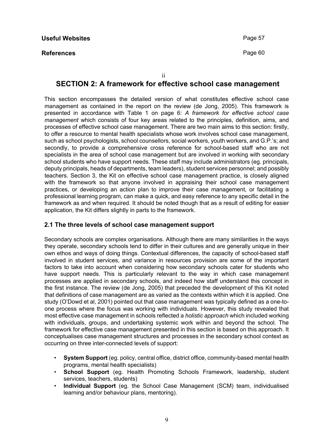#### **References**

Page 60

## **SECTION 2: A framework for effective school case management**

This section encompasses the detailed version of what constitutes effective school case management as contained in the report on the review (de Jong, 2005). This framework is presented in accordance with Table 1 on page 6: *A framework for effective school case management* which consists of four key areas related to the principles, definition, aims, and processes of effective school case management. There are two main aims to this section: firstly, to offer a resource to mental health specialists whose work involves school case management, such as school psychologists, school counsellors, social workers, youth workers, and G.P.'s; and secondly, to provide a comprehensive cross reference for school-based staff who are not specialists in the area of school case management but are involved in working with secondary school students who have support needs. These staff may include administrators (eg. principals, deputy principals, heads of departments, team leaders), student services personnel; and possibly teachers. Section 3, the Kit on effective school case management practice, is closely aligned with the framework so that anyone involved in appraising their school case management practices, or developing an action plan to improve their case management, or facilitating a professional learning program, can make a quick, and easy reference to any specific detail in the framework as and when required. It should be noted though that as a result of editing for easier application, the Kit differs slightly in parts to the framework.

## **2.1 The three levels of school case management support**

Secondary schools are complex organisations. Although there are many similarities in the ways they operate, secondary schools tend to differ in their cultures and are generally unique in their own ethos and ways of doing things. Contextual differences, the capacity of school-based staff involved in student services, and variance in resources provision are some of the important factors to take into account when considering how secondary schools cater for students who have support needs. This is particularly relevant to the way in which case management processes are applied in secondary schools, and indeed how staff understand this concept in the first instance. The review (de Jong, 2005) that preceded the development of this Kit noted that definitions of case management are as varied as the contexts within which it is applied. One study (O'Dowd et al, 2001) pointed out that case management was typically defined as a one-toone process where the focus was working with individuals. However, this study revealed that most effective case management in schools reflected a *holistic approach* which included working with individuals, groups, and undertaking systemic work within and beyond the school. The framework for effective case management presented in this section is based on this approach. It conceptualises case management structures and processes in the secondary school context as occurring on three inter-connected levels of support:

- **System Support** (eg. policy, central office, district office, community-based mental health programs, mental health specialists)
- **School Support** (eg. Health Promoting Schools Framework, leadership, student services, teachers, students)
- **Individual Support** (eg. the School Case Management (SCM) team, individualised learning and/or behaviour plans, mentoring).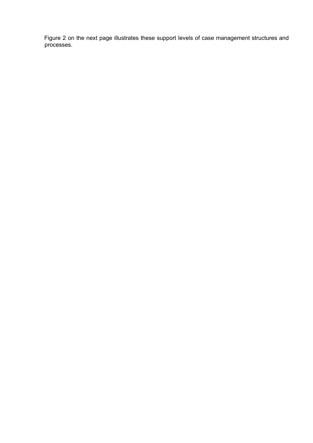Figure 2 on the next page illustrates these support levels of case management structures and processes.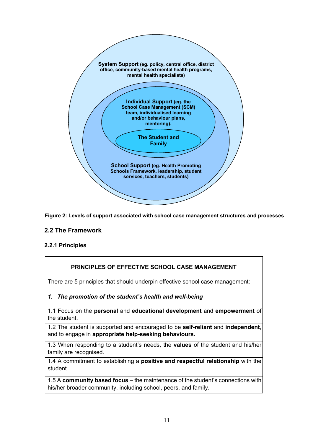

**Figure 2: Levels of support associated with school case management structures and processes** 

## **2.2 The Framework**

#### **2.2.1 Principles**

# **PRINCIPLES OF EFFECTIVE SCHOOL CASE MANAGEMENT**  There are 5 principles that should underpin effective school case management: *1. The promotion of the student's health and well-being* 1.1 Focus on the **personal** and **educational development** and **empowerment** of the student.

1.2 The student is supported and encouraged to be **self-reliant** and **independent**, and to engage in **appropriate help-seeking behaviours.**

1.3 When responding to a student's needs, the **values** of the student and his/her family are recognised.

1.4 A commitment to establishing a **positive and respectful relationship** with the student.

1.5 A **community based focus** – the maintenance of the student's connections with his/her broader community, including school, peers, and family.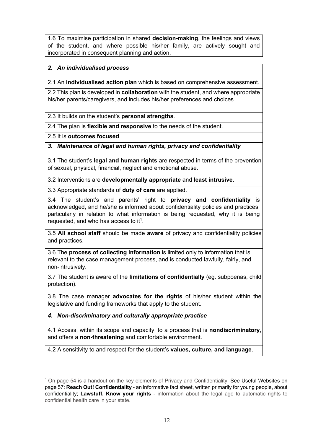1.6 To maximise participation in shared **decision-making**, the feelings and views of the student, and where possible his/her family, are actively sought and incorporated in consequent planning and action.

## *2. An individualised process*

2.1 An **individualised action plan** which is based on comprehensive assessment.

2.2 This plan is developed in **collaboration** with the student, and where appropriate his/her parents/caregivers, and includes his/her preferences and choices.

2.3 It builds on the student's **personal strengths**.

2.4 The plan is **flexible and responsive** to the needs of the student.

2.5 It is **outcomes focused**.

*3. Maintenance of legal and human rights, privacy and confidentiality*

3.1 The student's **legal and human rights** are respected in terms of the prevention of sexual, physical, financial, neglect and emotional abuse.

3.2 Interventions are **developmentally appropriate** and **least intrusive.**

3.3 Appropriate standards of **duty of care** are applied.

3.4 The student's and parents' right to **privacy and confidentiality** is acknowledged, and he/she is informed about confidentiality policies and practices, particularly in relation to what information is being requested, why it is being requested, and who has access to it<sup>1</sup>.

3.5 **All school staff** should be made **aware** of privacy and confidentiality policies and practices.

3.6 The **process of collecting information** is limited only to information that is relevant to the case management process, and is conducted lawfully, fairly, and non-intrusively.

3.7 The student is aware of the **limitations of confidentially** (eg. subpoenas, child protection).

3.8 The case manager **advocates for the rights** of his/her student within the legislative and funding frameworks that apply to the student.

*4. Non-discriminatory and culturally appropriate practice*

4.1 Access, within its scope and capacity, to a process that is **nondiscriminatory**, and offers a **non-threatening** and comfortable environment.

4.2 A sensitivity to and respect for the student's **values, culture, and language**.

<sup>&</sup>lt;sup>1</sup> On page 54 is a handout on the key elements of Privacy and Confidentiality. See Useful Websites on page 57: **Reach Out! Confidentiality** - an informative fact sheet, written primarily for young people, about confidentiality; **Lawstuff. Know your rights** - information about the legal age to automatic rights to confidential health care in your state.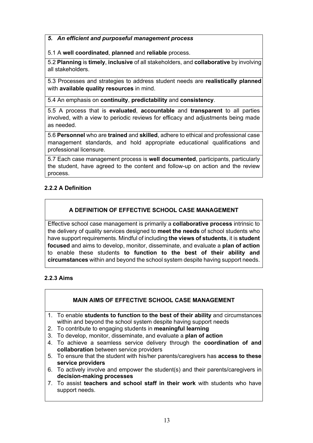## *5. An efficient and purposeful management process*

5.1 A **well coordinated**, **planned** and **reliable** process.

5.2 **Planning** is **timely**, **inclusive** of all stakeholders, and **collaborative** by involving all stakeholders.

5.3 Processes and strategies to address student needs are **realistically planned** with **available quality resources** in mind.

5.4 An emphasis on **continuity**, **predictability** and **consistency**.

5.5 A process that is **evaluated**, **accountable** and **transparent** to all parties involved, with a view to periodic reviews for efficacy and adjustments being made as needed.

5.6 **Personnel** who are **trained** and **skilled**, adhere to ethical and professional case management standards, and hold appropriate educational qualifications and professional licensure.

5.7 Each case management process is **well documented**, participants, particularly the student, have agreed to the content and follow-up on action and the review process.

## **2.2.2 A Definition**

## **A DEFINITION OF EFFECTIVE SCHOOL CASE MANAGEMENT**

Effective school case management is primarily a **collaborative process** intrinsic to the delivery of quality services designed to **meet the needs** of school students who have support requirements. Mindful of including **the views of students**, it is **student focused** and aims to develop, monitor, disseminate, and evaluate a **plan of action** to enable these students **to function to the best of their ability and circumstances** within and beyond the school system despite having support needs.

## **2.2.3 Aims**

## **MAIN AIMS OF EFFECTIVE SCHOOL CASE MANAGEMENT**

- 1. To enable **students to function to the best of their ability** and circumstances within and beyond the school system despite having support needs
- 2. To contribute to engaging students in **meaningful learning**
- 3. To develop, monitor, disseminate, and evaluate a **plan of action**
- 4. To achieve a seamless service delivery through the **coordination of and collaboration** between service providers
- 5. To ensure that the student with his/her parents/caregivers has **access to these service providers**
- 6. To actively involve and empower the student(s) and their parents/caregivers in **decision-making processes**
- 7. To assist **teachers and school staff in their work** with students who have support needs.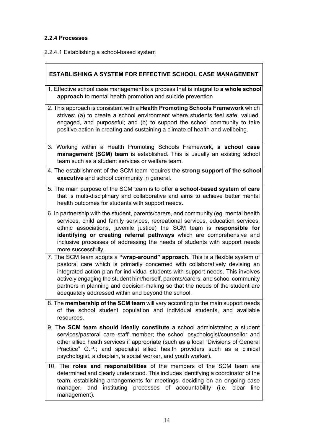## **2.2.4 Processes**

 $\mathbf{r}$ 

## 2.2.4.1 Establishing a school-based system

| <b>ESTABLISHING A SYSTEM FOR EFFECTIVE SCHOOL CASE MANAGEMENT</b>                                                                                                                                                                                                                                                                                                                                                                                                          |  |  |  |  |  |  |
|----------------------------------------------------------------------------------------------------------------------------------------------------------------------------------------------------------------------------------------------------------------------------------------------------------------------------------------------------------------------------------------------------------------------------------------------------------------------------|--|--|--|--|--|--|
| 1. Effective school case management is a process that is integral to a whole school<br>approach to mental health promotion and suicide prevention.                                                                                                                                                                                                                                                                                                                         |  |  |  |  |  |  |
| 2. This approach is consistent with a Health Promoting Schools Framework which<br>strives: (a) to create a school environment where students feel safe, valued,<br>engaged, and purposeful; and (b) to support the school community to take<br>positive action in creating and sustaining a climate of health and wellbeing.                                                                                                                                               |  |  |  |  |  |  |
| 3. Working within a Health Promoting Schools Framework, a school case<br>management (SCM) team is established. This is usually an existing school<br>team such as a student services or welfare team.                                                                                                                                                                                                                                                                      |  |  |  |  |  |  |
| 4. The establishment of the SCM team requires the strong support of the school<br>executive and school community in general.                                                                                                                                                                                                                                                                                                                                               |  |  |  |  |  |  |
| 5. The main purpose of the SCM team is to offer a school-based system of care<br>that is multi-disciplinary and collaborative and aims to achieve better mental<br>health outcomes for students with support needs.                                                                                                                                                                                                                                                        |  |  |  |  |  |  |
| 6. In partnership with the student, parents/carers, and community (eg. mental health<br>services, child and family services, recreational services, education services,<br>ethnic associations, juvenile justice) the SCM team is responsible for<br>identifying or creating referral pathways which are comprehensive and<br>inclusive processes of addressing the needs of students with support needs<br>more successfully.                                             |  |  |  |  |  |  |
| 7. The SCM team adopts a "wrap-around" approach. This is a flexible system of<br>pastoral care which is primarily concerned with collaboratively devising an<br>integrated action plan for individual students with support needs. This involves<br>actively engaging the student him/herself, parents/carers, and school community<br>partners in planning and decision-making so that the needs of the student are<br>adequately addressed within and beyond the school. |  |  |  |  |  |  |
| 8. The membership of the SCM team will vary according to the main support needs<br>of the school student population and individual students, and available<br>resources.                                                                                                                                                                                                                                                                                                   |  |  |  |  |  |  |
| 9. The SCM team should ideally constitute a school administrator; a student<br>services/pastoral care staff member; the school psychologist/counsellor and<br>other allied heath services if appropriate (such as a local "Divisions of General<br>Practice" G.P.; and specialist allied health providers such as a clinical<br>psychologist, a chaplain, a social worker, and youth worker).                                                                              |  |  |  |  |  |  |
| 10. The roles and responsibilities of the members of the SCM team are<br>determined and clearly understood. This includes identifying a coordinator of the<br>team, establishing arrangements for meetings, deciding on an ongoing case<br>instituting processes of accountability (i.e. clear<br>manager, and<br>line<br>management).                                                                                                                                     |  |  |  |  |  |  |

Ť.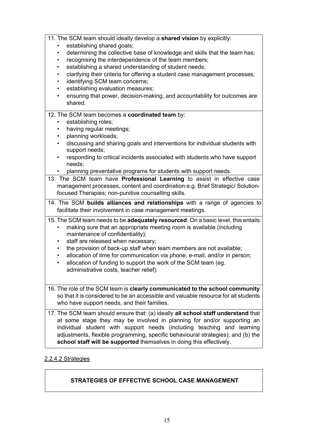|  | 11. The SCM team should ideally develop a shared vision by explicitly: |  |  |  |
|--|------------------------------------------------------------------------|--|--|--|
|  |                                                                        |  |  |  |

- establishing shared goals;
- determining the collective base of knowledge and skills that the team has;
- recognising the interdependence of the team members;
- establishing a shared understanding of student needs;
- clarifying their criteria for offering a student case management processes;
- identifying SCM team concerns;
- establishing evaluation measures;
- ensuring that power, decision-making, and accountability for outcomes are shared.

## 12. The SCM team becomes a **coordinated team** by:

- establishing roles;
- having regular meetings;
- planning workloads;
- discussing and sharing goals and interventions for individual students with support needs;
- responding to critical incidents associated with students who have support needs;
- planning preventative programs for students with support needs.
- 13. The SCM team have **Professional Learning** to assist in effective case management processes, content and coordination e.g. Brief Strategic/ Solutionfocused Therapies; non-punitive counselling skills.
- 14. The SCM **builds alliances and relationships** with a range of agencies to facilitate their involvement in case management meetings.

15. The SCM team needs to be **adequately resourced**. On a basic level, this entails:

- making sure that an appropriate meeting room is available (including maintenance of confidentiality);
- staff are released when necessary;
- the provision of back-up staff when team members are not available;
- allocation of time for communication via phone, e-mail, and/or in person;
- allocation of funding to support the work of the SCM team (eg. administrative costs, teacher relief).
- 16. The role of the SCM team is **clearly communicated to the school community** so that it is considered to be an accessible and valuable resource for all students who have support needs, and their families.
- 17. The SCM team should ensure that: (a) ideally **all school staff understand** that at some stage they may be involved in planning for and/or supporting an individual student with support needs (including teaching and learning adjustments, flexible programming, specific behavioural strategies); and (b) the **school staff will be supported** themselves in doing this effectively.

## 2.2.4.2 Strategies

## **STRATEGIES OF EFFECTIVE SCHOOL CASE MANAGEMENT**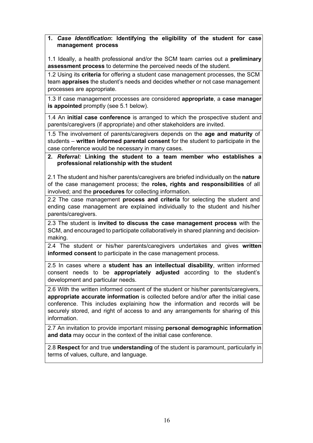#### **1.** *Case Identification***: Identifying the eligibility of the student for case management process**

1.1 Ideally, a health professional and/or the SCM team carries out a **preliminary assessment process** to determine the perceived needs of the student.

1.2 Using its **criteria** for offering a student case management processes, the SCM team **appraises** the student's needs and decides whether or not case management processes are appropriate.

1.3 If case management processes are considered **appropriate**, a **case manager is appointed** promptly (see 5.1 below).

1.4 An **initial case conference** is arranged to which the prospective student and parents/caregivers (if appropriate) and other stakeholders are invited.

1.5 The involvement of parents/caregivers depends on the **age and maturity** of students – **written informed parental consent** for the student to participate in the case conference would be necessary in many cases.

**2.** *Referral:* **Linking the student to a team member who establishes a professional relationship with the student** 

2.1 The student and his/her parents/caregivers are briefed individually on the **nature** of the case management process; the **roles, rights and responsibilities** of all involved; and the **procedures** for collecting information.

2.2 The case management **process and criteria** for selecting the student and ending case management are explained individually to the student and his/her parents/caregivers.

2.3 The student is **invited to discuss the case management process** with the SCM, and encouraged to participate collaboratively in shared planning and decisionmaking.

2.4 The student or his/her parents/caregivers undertakes and gives **written informed consent** to participate in the case management process.

2.5 In cases where a **student has an intellectual disability**, written informed consent needs to be **appropriately adjusted** according to the student's development and particular needs.

2.6 With the written informed consent of the student or his/her parents/caregivers, **appropriate accurate information** is collected before and/or after the initial case conference. This includes explaining how the information and records will be securely stored, and right of access to and any arrangements for sharing of this information.

2.7 An invitation to provide important missing **personal demographic information and data** may occur in the context of the initial case conference.

2.8 **Respect** for and true **understanding** of the student is paramount, particularly in terms of values, culture, and language.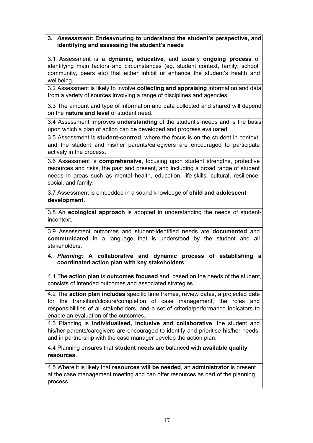#### **3.** *Assessment***: Endeavouring to understand the student's perspective, and identifying and assessing the student's needs**

3.1 Assessment is a **dynamic, educative**, and usually **ongoing process** of identifying main factors and circumstances (eg. student context, family, school, community, peers etc) that either inhibit or enhance the student's health and wellbeing.

3.2 Assessment is likely to involve **collecting and appraising** information and data from a variety of sources involving a range of disciplines and agencies.

3.3 The amount and type of information and data collected and shared will depend on the **nature and level** of student need.

3.4 Assessment improves **understanding** of the student's needs and is the basis upon which a plan of action can be developed and progress evaluated.

3.5 Assessment is **student-centred**, where the focus is on the student-in-context, and the student and his/her parents/caregivers are encouraged to participate actively in the process.

3.6 Assessment is **comprehensive**, focusing upon student strengths, protective resources and risks, the past and present, and including a broad range of student needs in areas such as mental health, education, life-skills, cultural, resilience, social, and family.

3.7 Assessment is embedded in a sound knowledge of **child and adolescent development.**

3.8 An **ecological approach** is adopted in understanding the needs of studentincontext.

3.9 Assessment outcomes and student-identified needs are **documented** and **communicated** in a language that is understood by the student and all stakeholders.

**4.** *Planning***: A collaborative and dynamic process of establishing a coordinated action plan with key stakeholders** 

4.1 The **action plan** is **outcomes focused** and, based on the needs of the student, consists of intended outcomes and associated strategies.

4.2 The **action plan includes** specific time frames, review dates, a projected date for the transition/closure/completion of case management, the roles and responsibilities of all stakeholders, and a set of criteria/performance indicators to enable an evaluation of the outcomes.

4.3 Planning is **individualised, inclusive and collaborative**; the student and his/her parents/caregivers are encouraged to identify and prioritise his/her needs, and in partnership with the case manager develop the action plan.

4.4 Planning ensures that **student needs** are balanced with **available quality resources**.

4.5 Where it is likely that **resources will be needed**, an **administrator** is present at the case management meeting and can offer resources as part of the planning process.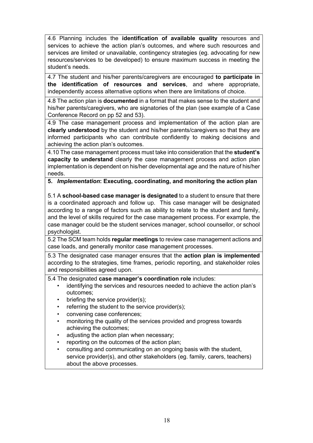4.6 Planning includes the **identification of available quality** resources and services to achieve the action plan's outcomes, and where such resources and services are limited or unavailable, contingency strategies (eg. advocating for new resources/services to be developed) to ensure maximum success in meeting the student's needs.

4.7 The student and his/her parents/caregivers are encouraged **to participate in the identification of resources and services**, and where appropriate, independently access alternative options when there are limitations of choice.

4.8 The action plan is **documented** in a format that makes sense to the student and his/her parents/caregivers, who are signatories of the plan (see example of a Case Conference Record on pp 52 and 53).

4.9 The case management process and implementation of the action plan are **clearly understood** by the student and his/her parents/caregivers so that they are informed participants who can contribute confidently to making decisions and achieving the action plan's outcomes.

4.10 The case management process must take into consideration that the **student's capacity to understand** clearly the case management process and action plan implementation is dependent on his/her developmental age and the nature of his/her needs.

#### **5.** *Implementation***: Executing, coordinating, and monitoring the action plan**

5.1 A **school-based case manager is designated** to a student to ensure that there is a coordinated approach and follow up. This case manager will be designated according to a range of factors such as ability to relate to the student and family, and the level of skills required for the case management process. For example, the case manager could be the student services manager, school counsellor, or school psychologist.

5.2 The SCM team holds **regular meetings** to review case management actions and case loads, and generally monitor case management processes.

5.3 The designated case manager ensures that the **action plan is implemented**  according to the strategies, time frames, periodic reporting, and stakeholder roles and responsibilities agreed upon.

5.4 The designated **case manager's coordination role** includes:

- identifying the services and resources needed to achieve the action plan's outcomes;
- briefing the service provider(s);
- referring the student to the service provider(s);
- convening case conferences;
- monitoring the quality of the services provided and progress towards achieving the outcomes;
- adjusting the action plan when necessary;
- reporting on the outcomes of the action plan;
- consulting and communicating on an ongoing basis with the student, service provider(s), and other stakeholders (eg. family, carers, teachers) about the above processes.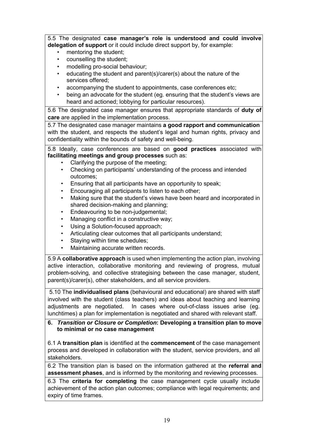5.5 The designated **case manager's role is understood and could involve delegation of support** or it could include direct support by, for example:

- mentoring the student;
- counselling the student;
- modelling pro-social behaviour;
- educating the student and parent(s)/carer(s) about the nature of the services offered;
- accompanying the student to appointments, case conferences etc;
- being an advocate for the student (eg. ensuring that the student's views are heard and actioned; lobbying for particular resources).

5.6 The designated case manager ensures that appropriate standards of **duty of care** are applied in the implementation process.

5.7 The designated case manager maintains **a good rapport and communication**  with the student, and respects the student's legal and human rights, privacy and confidentiality within the bounds of safety and well-being.

5.8 Ideally, case conferences are based on **good practices** associated with **facilitating meetings and group processes** such as:

- Clarifying the purpose of the meeting;
- Checking on participants' understanding of the process and intended outcomes;
- Ensuring that all participants have an opportunity to speak;
- Encouraging all participants to listen to each other;
- Making sure that the student's views have been heard and incorporated in shared decision-making and planning;
- Endeavouring to be non-judgemental;
- Managing conflict in a constructive way:
- Using a Solution-focused approach;
- Articulating clear outcomes that all participants understand;
- Staving within time schedules:
- Maintaining accurate written records.

5.9 A **collaborative approach** is used when implementing the action plan, involving active interaction, collaborative monitoring and reviewing of progress, mutual problem-solving, and collective strategising between the case manager, student, parent(s)/carer(s), other stakeholders, and all service providers.

5.10 The **individualised plans** (behavioural and educational) are shared with staff involved with the student (class teachers) and ideas about teaching and learning adjustments are negotiated. In cases where out-of-class issues arise (eg. lunchtimes) a plan for implementation is negotiated and shared with relevant staff.

#### **6.** *Transition or Closure or Completion***: Developing a transition plan to move to minimal or no case management**

6.1 A **transition plan** is identified at the **commencement** of the case management process and developed in collaboration with the student, service providers, and all stakeholders.

6.2 The transition plan is based on the information gathered at the **referral and assessment phases**, and is informed by the monitoring and reviewing processes.

6.3 The **criteria for completing** the case management cycle usually include achievement of the action plan outcomes; compliance with legal requirements; and expiry of time frames.